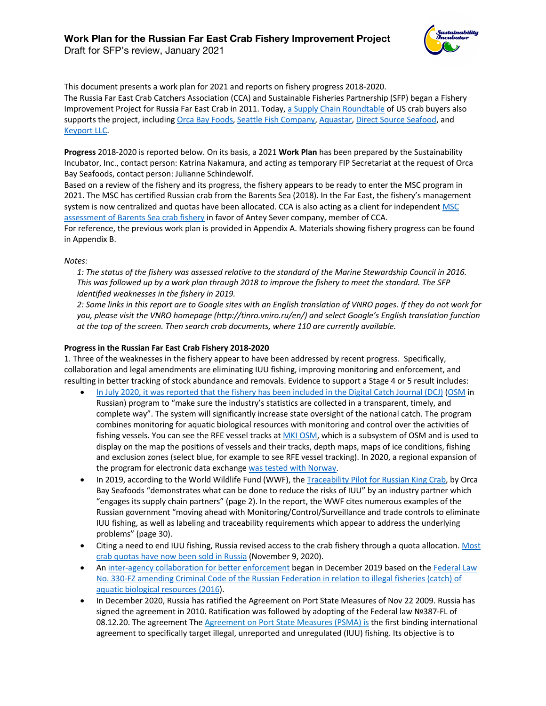

Draft for SFP's review, January 2021

This document presents a work plan for 2021 and reports on fishery progress 2018-2020. The Russia Far East Crab Catchers Association (CCA) and Sustainable Fisheries Partnership (SFP) began a Fishery Improvement Project for Russia Far East Crab in 2011. Today, a Supply Chain Roundtable of US crab buyers also supports the project, including Orca Bay Foods, Seattle Fish Company, Aquastar, Direct Source Seafood, and Keyport LLC.

**Progress** 2018-2020 is reported below. On its basis, a 2021 **Work Plan** has been prepared by the Sustainability Incubator, Inc., contact person: Katrina Nakamura, and acting as temporary FIP Secretariat at the request of Orca Bay Seafoods, contact person: Julianne Schindewolf.

Based on a review of the fishery and its progress, the fishery appears to be ready to enter the MSC program in 2021. The MSC has certified Russian crab from the Barents Sea (2018). In the Far East, the fishery's management system is now centralized and quotas have been allocated. CCA is also acting as a client for independent MSC assessment of Barents Sea crab fishery in favor of Antey Sever company, member of CCA.

For reference, the previous work plan is provided in Appendix A. Materials showing fishery progress can be found in Appendix B.

# *Notes:*

*1: The status of the fishery was assessed relative to the standard of the Marine Stewardship Council in 2016. This was followed up by a work plan through 2018 to improve the fishery to meet the standard. The SFP identified weaknesses in the fishery in 2019.*

*2: Some links in this report are to Google sites with an English translation of VNRO pages. If they do not work for you, please visit the VNRO homepage (http://tinro.vniro.ru/en/) and select Google's English translation function at the top of the screen. Then search crab documents, where 110 are currently available.*

# **Progress in the Russian Far East Crab Fishery 2018-2020**

1. Three of the weaknesses in the fishery appear to have been addressed by recent progress. Specifically, collaboration and legal amendments are eliminating IUU fishing, improving monitoring and enforcement, and resulting in better tracking of stock abundance and removals. Evidence to support a Stage 4 or 5 result includes:

- In July 2020, it was reported that the fishery has been included in the Digital Catch Journal (DCJ) (OSM in Russian) program to "make sure the industry's statistics are collected in a transparent, timely, and complete way". The system will significantly increase state oversight of the national catch. The program combines monitoring for aquatic biological resources with monitoring and control over the activities of fishing vessels. You can see the RFE vessel tracks at MKI OSM, which is a subsystem of OSM and is used to display on the map the positions of vessels and their tracks, depth maps, maps of ice conditions, fishing and exclusion zones (select blue, for example to see RFE vessel tracking). In 2020, a regional expansion of the program for electronic data exchange was tested with Norway.
- In 2019, according to the World Wildlife Fund (WWF), the *Traceability Pilot for Russian King Crab*, by Orca Bay Seafoods "demonstrates what can be done to reduce the risks of IUU" by an industry partner which "engages its supply chain partners" (page 2). In the report, the WWF cites numerous examples of the Russian government "moving ahead with Monitoring/Control/Surveillance and trade controls to eliminate IUU fishing, as well as labeling and traceability requirements which appear to address the underlying problems" (page 30).
- Citing a need to end IUU fishing, Russia revised access to the crab fishery through a quota allocation. Most crab quotas have now been sold in Russia (November 9, 2020).
- An inter-agency collaboration for better enforcement began in December 2019 based on the Federal Law No. 330-FZ amending Criminal Code of the Russian Federation in relation to illegal fisheries (catch) of aquatic biological resources (2016).
- In December 2020, Russia has ratified the Agreement on Port State Measures of Nov 22 2009. Russia has signed the agreement in 2010. Ratification was followed by adopting of the Federal law №387-FL of 08.12.20. The agreement The Agreement on Port State Measures (PSMA) is the first binding international agreement to specifically target illegal, unreported and unregulated (IUU) fishing. Its objective is to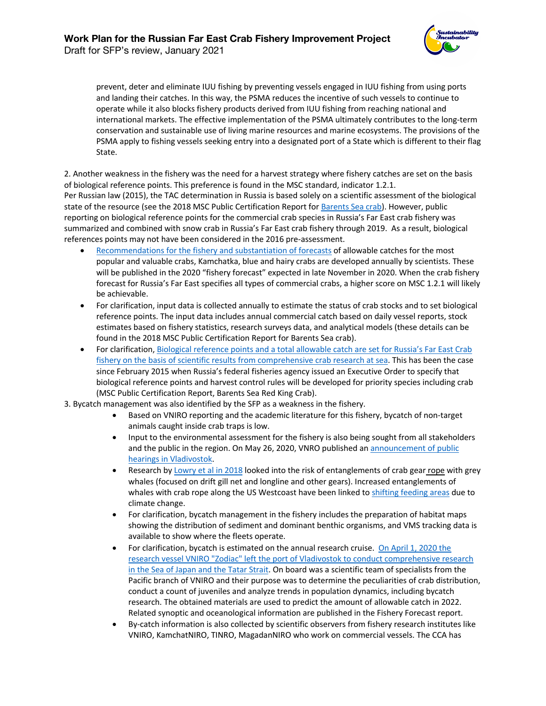prevent, deter and eliminate IUU fishing by preventing vessels engaged in IUU fishing from using ports and landing their catches. In this way, the PSMA reduces the incentive of such vessels to continue to operate while it also blocks fishery products derived from IUU fishing from reaching national and international markets. The effective implementation of the PSMA ultimately contributes to the long-term conservation and sustainable use of living marine resources and marine ecosystems. The provisions of the PSMA apply to fishing vessels seeking entry into a designated port of a State which is different to their flag State.

2. Another weakness in the fishery was the need for a harvest strategy where fishery catches are set on the basis of biological reference points. This preference is found in the MSC standard, indicator 1.2.1. Per Russian law (2015), the TAC determination in Russia is based solely on a scientific assessment of the biological state of the resource (see the 2018 MSC Public Certification Report for Barents Sea crab). However, public reporting on biological reference points for the commercial crab species in Russia's Far East crab fishery was summarized and combined with snow crab in Russia's Far East crab fishery through 2019. As a result, biological references points may not have been considered in the 2016 pre-assessment.

- Recommendations for the fishery and substantiation of forecasts of allowable catches for the most popular and valuable crabs, Kamchatka, blue and hairy crabs are developed annually by scientists. These will be published in the 2020 "fishery forecast" expected in late November in 2020. When the crab fishery forecast for Russia's Far East specifies all types of commercial crabs, a higher score on MSC 1.2.1 will likely be achievable.
- For clarification, input data is collected annually to estimate the status of crab stocks and to set biological reference points. The input data includes annual commercial catch based on daily vessel reports, stock estimates based on fishery statistics, research surveys data, and analytical models (these details can be found in the 2018 MSC Public Certification Report for Barents Sea crab).
- For clarification, Biological reference points and a total allowable catch are set for Russia's Far East Crab fishery on the basis of scientific results from comprehensive crab research at sea. This has been the case since February 2015 when Russia's federal fisheries agency issued an Executive Order to specify that biological reference points and harvest control rules will be developed for priority species including crab (MSC Public Certification Report, Barents Sea Red King Crab).
- 3. Bycatch management was also identified by the SFP as a weakness in the fishery.
	- Based on VNIRO reporting and the academic literature for this fishery, bycatch of non-target animals caught inside crab traps is low.
	- Input to the environmental assessment for the fishery is also being sought from all stakeholders and the public in the region. On May 26, 2020, VNRO published an announcement of public hearings in Vladivostok.
	- Research by Lowry et al in 2018 looked into the risk of entanglements of crab gear rope with grey whales (focused on drift gill net and longline and other gears). Increased entanglements of whales with crab rope along the US Westcoast have been linked to shifting feeding areas due to climate change.
	- For clarification, bycatch management in the fishery includes the preparation of habitat maps showing the distribution of sediment and dominant benthic organisms, and VMS tracking data is available to show where the fleets operate.
	- For clarification, bycatch is estimated on the annual research cruise. On April 1, 2020 the research vessel VNIRO "Zodiac" left the port of Vladivostok to conduct comprehensive research in the Sea of Japan and the Tatar Strait. On board was a scientific team of specialists from the Pacific branch of VNIRO and their purpose was to determine the peculiarities of crab distribution, conduct a count of juveniles and analyze trends in population dynamics, including bycatch research. The obtained materials are used to predict the amount of allowable catch in 2022. Related synoptic and oceanological information are published in the Fishery Forecast report.
	- By-catch information is also collected by scientific observers from fishery research institutes like VNIRO, KamchatNIRO, TINRO, MagadanNIRO who work on commercial vessels. The CCA has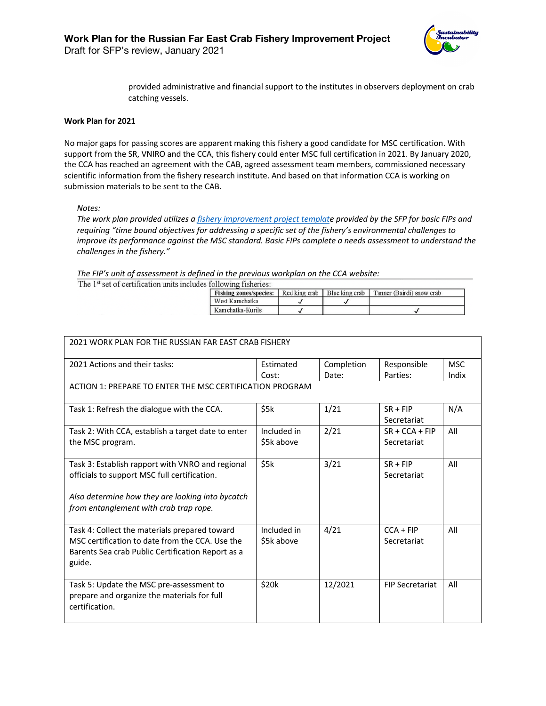

provided administrative and financial support to the institutes in observers deployment on crab catching vessels.

#### **Work Plan for 2021**

No major gaps for passing scores are apparent making this fishery a good candidate for MSC certification. With support from the SR, VNIRO and the CCA, this fishery could enter MSC full certification in 2021. By January 2020, the CCA has reached an agreement with the CAB, agreed assessment team members, commissioned necessary scientific information from the fishery research institute. And based on that information CCA is working on submission materials to be sent to the CAB.

*Notes:*

*The work plan provided utilizes a fishery improvement project template provided by the SFP for basic FIPs and requiring "time bound objectives for addressing a specific set of the fishery's environmental challenges to improve its performance against the MSC standard. Basic FIPs complete a needs assessment to understand the challenges in the fishery."*

*The FIP's unit of assessment is defined in the previous workplan on the CCA website:*

The 1st set of certification units includes following fisheries:

| <b>Fishing zones/species:</b> Red king crab Blue king crab |  | Tanner (Bairdi) snow crab |
|------------------------------------------------------------|--|---------------------------|
| West Kamchatka                                             |  |                           |
| Kamchatka-Kurils                                           |  |                           |

| 2021 WORK PLAN FOR THE RUSSIAN FAR EAST CRAB FISHERY     |             |            |                        |            |  |  |  |
|----------------------------------------------------------|-------------|------------|------------------------|------------|--|--|--|
| 2021 Actions and their tasks:                            | Estimated   | Completion | Responsible            | <b>MSC</b> |  |  |  |
|                                                          | Cost:       | Date:      | Parties:               | Indix      |  |  |  |
| ACTION 1: PREPARE TO ENTER THE MSC CERTIFICATION PROGRAM |             |            |                        |            |  |  |  |
| Task 1: Refresh the dialogue with the CCA.               | \$5k        | 1/21       | $SR + FIP$             | N/A        |  |  |  |
|                                                          |             |            | Secretariat            |            |  |  |  |
| Task 2: With CCA, establish a target date to enter       | Included in | 2/21       | $SR + CCA + FIP$       | All        |  |  |  |
| the MSC program.                                         | \$5k above  |            | Secretariat            |            |  |  |  |
|                                                          |             |            |                        |            |  |  |  |
| Task 3: Establish rapport with VNRO and regional         | \$5k        | 3/21       | $SR + FIP$             | All        |  |  |  |
| officials to support MSC full certification.             |             |            | Secretariat            |            |  |  |  |
|                                                          |             |            |                        |            |  |  |  |
| Also determine how they are looking into bycatch         |             |            |                        |            |  |  |  |
| from entanglement with crab trap rope.                   |             |            |                        |            |  |  |  |
|                                                          |             |            |                        |            |  |  |  |
| Task 4: Collect the materials prepared toward            | Included in | 4/21       | $CCA + FIP$            | All        |  |  |  |
| MSC certification to date from the CCA. Use the          | \$5k above  |            | Secretariat            |            |  |  |  |
| Barents Sea crab Public Certification Report as a        |             |            |                        |            |  |  |  |
| guide.                                                   |             |            |                        |            |  |  |  |
|                                                          |             |            |                        |            |  |  |  |
| Task 5: Update the MSC pre-assessment to                 | \$20k       | 12/2021    | <b>FIP Secretariat</b> | All        |  |  |  |
| prepare and organize the materials for full              |             |            |                        |            |  |  |  |
| certification.                                           |             |            |                        |            |  |  |  |
|                                                          |             |            |                        |            |  |  |  |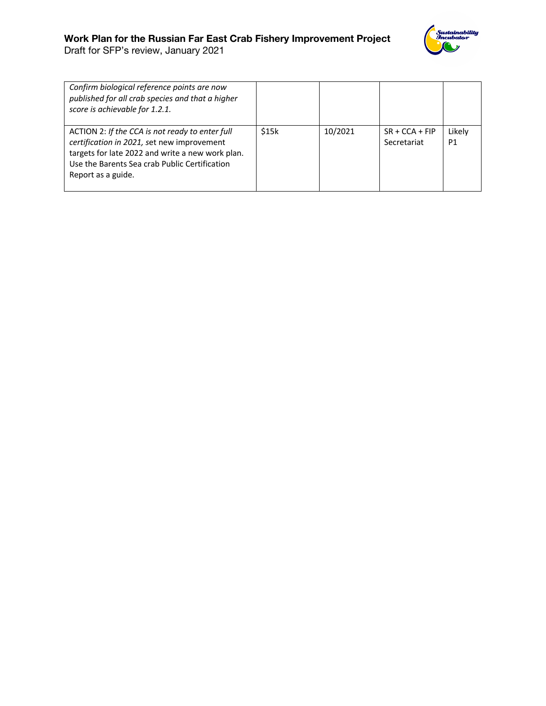# **Work Plan for the Russian Far East Crab Fishery Improvement Project**

Sustainability<br>Incybator

Draft for SFP's review, January 2021

| Confirm biological reference points are now<br>published for all crab species and that a higher<br>score is achievable for 1.2.1.                                                                                        |       |         |                                 |              |
|--------------------------------------------------------------------------------------------------------------------------------------------------------------------------------------------------------------------------|-------|---------|---------------------------------|--------------|
| ACTION 2: If the CCA is not ready to enter full<br>certification in 2021, set new improvement<br>targets for late 2022 and write a new work plan.<br>Use the Barents Sea crab Public Certification<br>Report as a guide. | \$15k | 10/2021 | $SR + CCA + FIP$<br>Secretariat | Likely<br>P1 |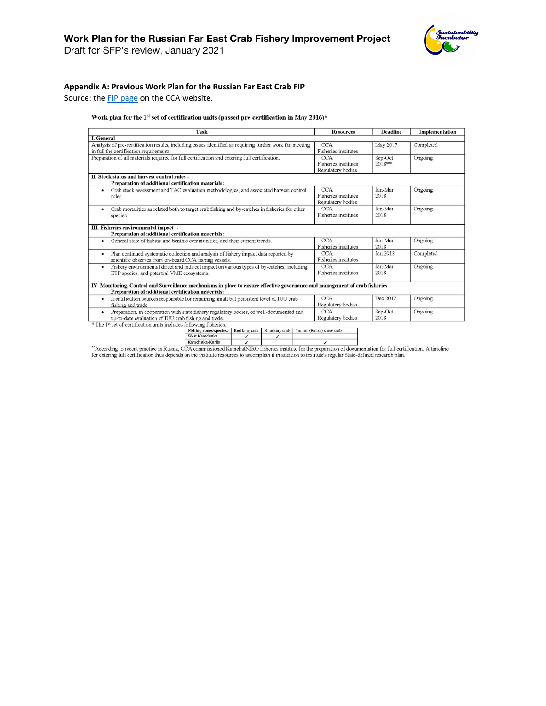Draft for SFP's review, January 2021

#### **Appendix A: Previous Work Plan for the Russian Far East Crab FIP**

Source: the **FIP** page on the CCA website.

#### Work plan for the 1st set of certification units (passed pre-certification in May 2016)\*

| Task                                                                                                                           | <b>Resources</b>            | <b>Deadline</b> | Implementation |
|--------------------------------------------------------------------------------------------------------------------------------|-----------------------------|-----------------|----------------|
| <b>I.</b> General                                                                                                              |                             |                 |                |
| Analysis of pre-certification results, including issues identified as requiring further work for meeting                       | <b>CCA</b>                  | May 2017        | Completed      |
| in full the certification requirements.                                                                                        | Fisheries institutes        |                 |                |
| Preparation of all materials required for full certification and entering full certification.                                  | <b>CCA</b>                  | Sep-Oct         | Ongoing        |
|                                                                                                                                | Fisheries institutes        | 2018**          |                |
|                                                                                                                                | Regulatory bodies           |                 |                |
| II. Stock status and harvest control rules -<br>Preparation of additional certification materials:                             |                             |                 |                |
| Crab stock assessment and TAC evaluation methodologies, and associated harvest control<br>٠                                    | <b>CCA</b>                  | Jan-Mar         | Ongoing        |
| rules.                                                                                                                         | <b>Fisheries</b> institutes | 2018            |                |
|                                                                                                                                | Regulatory bodies           |                 |                |
| Crab mortalities as related both to target crab fishing and by-catches in fisheries for other                                  | <b>CCA</b>                  | Jan-Mar         | Ongoing        |
| species                                                                                                                        | <b>Fisheries</b> institutes | 2018            |                |
|                                                                                                                                |                             |                 |                |
| III. Fisheries environmental impact -                                                                                          |                             |                 |                |
| Preparation of additional certification materials:                                                                             |                             |                 |                |
| General state of habitat and benthic communities, and their current trends.<br>٠                                               | <b>CCA</b>                  | Jan-Mar         | Ongoing        |
|                                                                                                                                | <b>Fisheries</b> institutes | 2018            |                |
| Plan continued systematic collection and analysis of fishery impact data reported by<br>٠                                      | <b>CCA</b>                  | Jan 2018        | Completed      |
| scientific observes from on-board CCA fishing vessels.                                                                         | <b>Fisheries</b> institutes |                 |                |
| Fishery environmental direct and indirect impact on various types of by-catches, including<br>٠                                | <b>CCA</b>                  | Jan-Mar         | Ongoing        |
| ETP species, and potential VME ecosystems.                                                                                     | <b>Fisheries</b> institutes | 2018            |                |
|                                                                                                                                |                             |                 |                |
| IV. Monitoring, Control and Surveillance mechanisms in place to ensure effective governance and management of crab fisheries - |                             |                 |                |
| Preparation of additional certification materials:                                                                             |                             |                 |                |
| Identification sources responsible for remaining small but persistent level of IUU crab<br>$\bullet$                           | <b>CCA</b>                  | Dec 2017        | Ongoing        |
| fishing and trade.                                                                                                             | Regulatory bodies           |                 |                |
| Preparation, in cooperation with state fishery regulatory bodies, of well-documented and<br>٠                                  | <b>CCA</b>                  | Sep-Oct         | Ongoing        |
| up-to-date evaluation of IUU crab fishing and trade.                                                                           | Regulatory bodies           | 2018            |                |
| * The 1st set of certification units includes following fisheries:                                                             |                             |                 |                |
| Red king crab<br>Blue king crab<br>Fishing zones/species:                                                                      | Tanner (Bairdi) snow crab   |                 |                |
| West Kamchatka<br>$\checkmark$<br>$\checkmark$<br>The countries that The office<br>$\epsilon$                                  | $\sim$                      |                 |                |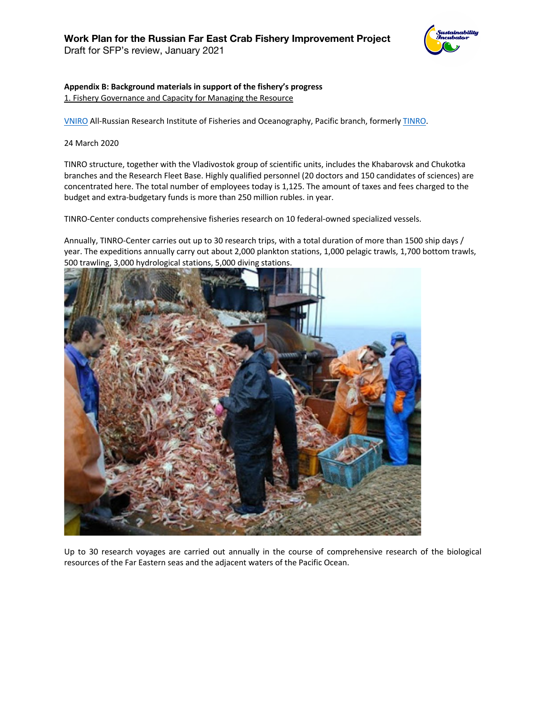

# **Appendix B: Background materials in support of the fishery's progress**

1. Fishery Governance and Capacity for Managing the Resource

VNIRO All-Russian Research Institute of Fisheries and Oceanography, Pacific branch, formerly TINRO.

24 March 2020

TINRO structure, together with the Vladivostok group of scientific units, includes the Khabarovsk and Chukotka branches and the Research Fleet Base. Highly qualified personnel (20 doctors and 150 candidates of sciences) are concentrated here. The total number of employees today is 1,125. The amount of taxes and fees charged to the budget and extra-budgetary funds is more than 250 million rubles. in year.

TINRO-Center conducts comprehensive fisheries research on 10 federal-owned specialized vessels.

Annually, TINRO-Center carries out up to 30 research trips, with a total duration of more than 1500 ship days / year. The expeditions annually carry out about 2,000 plankton stations, 1,000 pelagic trawls, 1,700 bottom trawls, 500 trawling, 3,000 hydrological stations, 5,000 diving stations.



Up to 30 research voyages are carried out annually in the course of comprehensive research of the biological resources of the Far Eastern seas and the adjacent waters of the Pacific Ocean.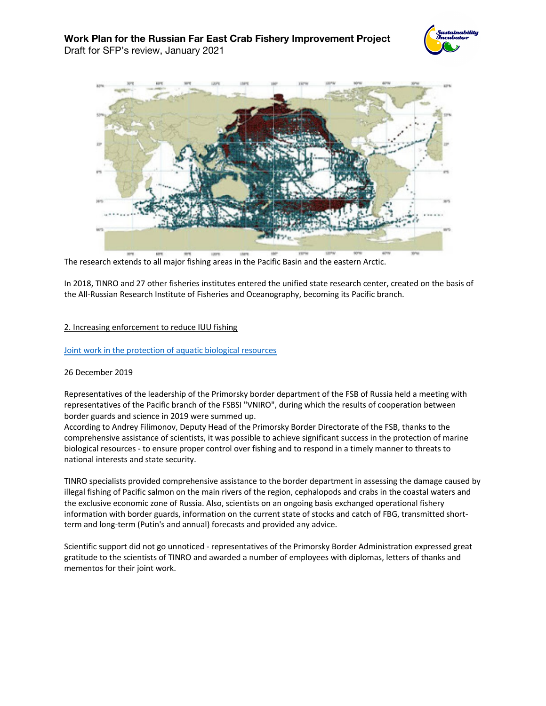



The research extends to all major fishing areas in the Pacific Basin and the eastern Arctic.

In 2018, TINRO and 27 other fisheries institutes entered the unified state research center, created on the basis of the All-Russian Research Institute of Fisheries and Oceanography, becoming its Pacific branch.

#### 2. Increasing enforcement to reduce IUU fishing

#### Joint work in the protection of aquatic biological resources

#### 26 December 2019

Representatives of the leadership of the Primorsky border department of the FSB of Russia held a meeting with representatives of the Pacific branch of the FSBSI "VNIRO", during which the results of cooperation between border guards and science in 2019 were summed up.

According to Andrey Filimonov, Deputy Head of the Primorsky Border Directorate of the FSB, thanks to the comprehensive assistance of scientists, it was possible to achieve significant success in the protection of marine biological resources - to ensure proper control over fishing and to respond in a timely manner to threats to national interests and state security.

TINRO specialists provided comprehensive assistance to the border department in assessing the damage caused by illegal fishing of Pacific salmon on the main rivers of the region, cephalopods and crabs in the coastal waters and the exclusive economic zone of Russia. Also, scientists on an ongoing basis exchanged operational fishery information with border guards, information on the current state of stocks and catch of FBG, transmitted shortterm and long-term (Putin's and annual) forecasts and provided any advice.

Scientific support did not go unnoticed - representatives of the Primorsky Border Administration expressed great gratitude to the scientists of TINRO and awarded a number of employees with diplomas, letters of thanks and mementos for their joint work.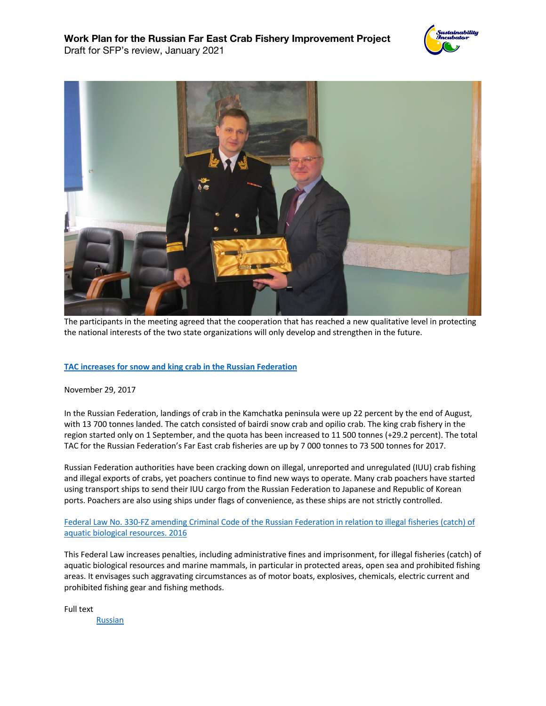



The participants in the meeting agreed that the cooperation that has reached a new qualitative level in protecting the national interests of the two state organizations will only develop and strengthen in the future.

# **TAC increases for snow and king crab in the Russian Federation**

#### November 29, 2017

In the Russian Federation, landings of crab in the Kamchatka peninsula were up 22 percent by the end of August, with 13 700 tonnes landed. The catch consisted of bairdi snow crab and opilio crab. The king crab fishery in the region started only on 1 September, and the quota has been increased to 11 500 tonnes (+29.2 percent). The total TAC for the Russian Federation's Far East crab fisheries are up by 7 000 tonnes to 73 500 tonnes for 2017.

Russian Federation authorities have been cracking down on illegal, unreported and unregulated (IUU) crab fishing and illegal exports of crabs, yet poachers continue to find new ways to operate. Many crab poachers have started using transport ships to send their IUU cargo from the Russian Federation to Japanese and Republic of Korean ports. Poachers are also using ships under flags of convenience, as these ships are not strictly controlled.

Federal Law No. 330-FZ amending Criminal Code of the Russian Federation in relation to illegal fisheries (catch) of aquatic biological resources. 2016

This Federal Law increases penalties, including administrative fines and imprisonment, for illegal fisheries (catch) of aquatic biological resources and marine mammals, in particular in protected areas, open sea and prohibited fishing areas. It envisages such aggravating circumstances as of motor boats, explosives, chemicals, electric current and prohibited fishing gear and fishing methods.

Full text Russian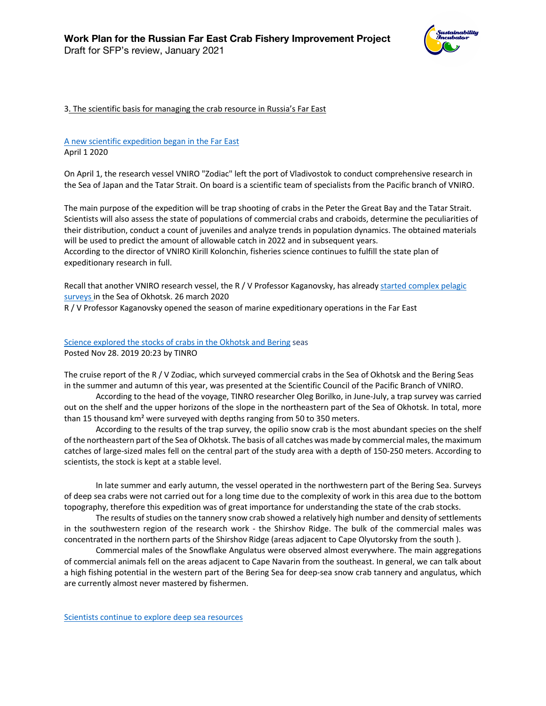

#### 3. The scientific basis for managing the crab resource in Russia's Far East

# A new scientific expedition began in the Far East April 1 2020

On April 1, the research vessel VNIRO "Zodiac" left the port of Vladivostok to conduct comprehensive research in the Sea of Japan and the Tatar Strait. On board is a scientific team of specialists from the Pacific branch of VNIRO.

The main purpose of the expedition will be trap shooting of crabs in the Peter the Great Bay and the Tatar Strait. Scientists will also assess the state of populations of commercial crabs and craboids, determine the peculiarities of their distribution, conduct a count of juveniles and analyze trends in population dynamics. The obtained materials will be used to predict the amount of allowable catch in 2022 and in subsequent years.

According to the director of VNIRO Kirill Kolonchin, fisheries science continues to fulfill the state plan of expeditionary research in full.

Recall that another VNIRO research vessel, the R / V Professor Kaganovsky, has already started complex pelagic surveys in the Sea of Okhotsk. 26 march 2020

R / V Professor Kaganovsky opened the season of marine expeditionary operations in the Far East

Science explored the stocks of crabs in the Okhotsk and Bering seas Posted Nov 28. 2019 20:23 by TINRO

The cruise report of the R / V Zodiac, which surveyed commercial crabs in the Sea of Okhotsk and the Bering Seas in the summer and autumn of this year, was presented at the Scientific Council of the Pacific Branch of VNIRO.

According to the head of the voyage, TINRO researcher Oleg Borilko, in June-July, a trap survey was carried out on the shelf and the upper horizons of the slope in the northeastern part of the Sea of Okhotsk. In total, more than 15 thousand km² were surveyed with depths ranging from 50 to 350 meters.

According to the results of the trap survey, the opilio snow crab is the most abundant species on the shelf of the northeastern part of the Sea of Okhotsk. The basis of all catches was made by commercial males, the maximum catches of large-sized males fell on the central part of the study area with a depth of 150-250 meters. According to scientists, the stock is kept at a stable level.

In late summer and early autumn, the vessel operated in the northwestern part of the Bering Sea. Surveys of deep sea crabs were not carried out for a long time due to the complexity of work in this area due to the bottom topography, therefore this expedition was of great importance for understanding the state of the crab stocks.

The results of studies on the tannery snow crab showed a relatively high number and density of settlements in the southwestern region of the research work - the Shirshov Ridge. The bulk of the commercial males was concentrated in the northern parts of the Shirshov Ridge (areas adjacent to Cape Olyutorsky from the south ).

Commercial males of the Snowflake Angulatus were observed almost everywhere. The main aggregations of commercial animals fell on the areas adjacent to Cape Navarin from the southeast. In general, we can talk about a high fishing potential in the western part of the Bering Sea for deep-sea snow crab tannery and angulatus, which are currently almost never mastered by fishermen.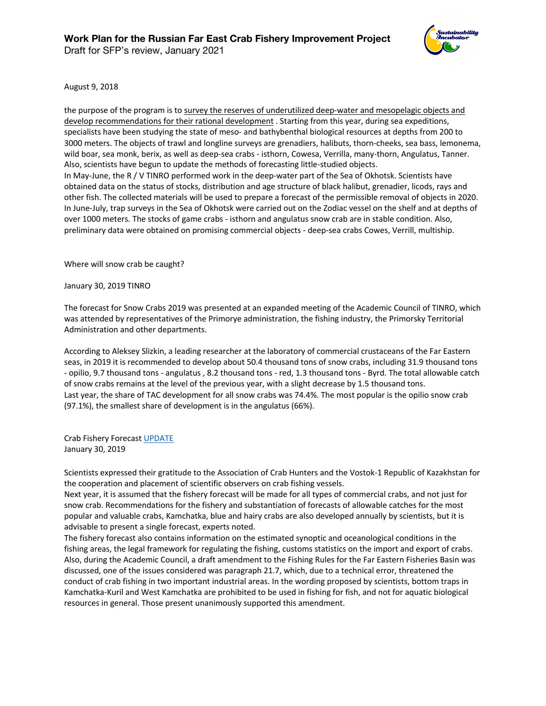

August 9, 2018

the purpose of the program is to survey the reserves of underutilized deep-water and mesopelagic objects and develop recommendations for their rational development . Starting from this year, during sea expeditions, specialists have been studying the state of meso- and bathybenthal biological resources at depths from 200 to 3000 meters. The objects of trawl and longline surveys are grenadiers, halibuts, thorn-cheeks, sea bass, lemonema, wild boar, sea monk, berix, as well as deep-sea crabs - isthorn, Cowesa, Verrilla, many-thorn, Angulatus, Tanner. Also, scientists have begun to update the methods of forecasting little-studied objects. In May-June, the R / V TINRO performed work in the deep-water part of the Sea of Okhotsk. Scientists have obtained data on the status of stocks, distribution and age structure of black halibut, grenadier, licods, rays and other fish. The collected materials will be used to prepare a forecast of the permissible removal of objects in 2020. In June-July, trap surveys in the Sea of Okhotsk were carried out on the Zodiac vessel on the shelf and at depths of over 1000 meters. The stocks of game crabs - isthorn and angulatus snow crab are in stable condition. Also, preliminary data were obtained on promising commercial objects - deep-sea crabs Cowes, Verrill, multiship.

Where will snow crab be caught?

January 30, 2019 TINRO

The forecast for Snow Crabs 2019 was presented at an expanded meeting of the Academic Council of TINRO, which was attended by representatives of the Primorye administration, the fishing industry, the Primorsky Territorial Administration and other departments.

According to Aleksey Slizkin, a leading researcher at the laboratory of commercial crustaceans of the Far Eastern seas, in 2019 it is recommended to develop about 50.4 thousand tons of snow crabs, including 31.9 thousand tons - opilio, 9.7 thousand tons - angulatus , 8.2 thousand tons - red, 1.3 thousand tons - Byrd. The total allowable catch of snow crabs remains at the level of the previous year, with a slight decrease by 1.5 thousand tons. Last year, the share of TAC development for all snow crabs was 74.4%. The most popular is the opilio snow crab (97.1%), the smallest share of development is in the angulatus (66%).

Crab Fishery Forecast UPDATE January 30, 2019

Scientists expressed their gratitude to the Association of Crab Hunters and the Vostok-1 Republic of Kazakhstan for the cooperation and placement of scientific observers on crab fishing vessels.

Next year, it is assumed that the fishery forecast will be made for all types of commercial crabs, and not just for snow crab. Recommendations for the fishery and substantiation of forecasts of allowable catches for the most popular and valuable crabs, Kamchatka, blue and hairy crabs are also developed annually by scientists, but it is advisable to present a single forecast, experts noted.

The fishery forecast also contains information on the estimated synoptic and oceanological conditions in the fishing areas, the legal framework for regulating the fishing, customs statistics on the import and export of crabs. Also, during the Academic Council, a draft amendment to the Fishing Rules for the Far Eastern Fisheries Basin was discussed, one of the issues considered was paragraph 21.7, which, due to a technical error, threatened the conduct of crab fishing in two important industrial areas. In the wording proposed by scientists, bottom traps in Kamchatka-Kuril and West Kamchatka are prohibited to be used in fishing for fish, and not for aquatic biological resources in general. Those present unanimously supported this amendment.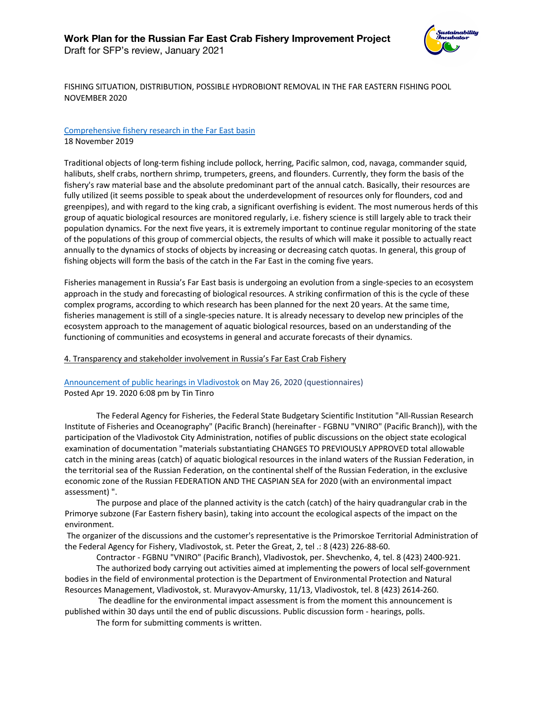

FISHING SITUATION, DISTRIBUTION, POSSIBLE HYDROBIONT REMOVAL IN THE FAR EASTERN FISHING POOL NOVEMBER 2020

#### Comprehensive fishery research in the Far East basin 18 November 2019

Traditional objects of long-term fishing include pollock, herring, Pacific salmon, cod, navaga, commander squid, halibuts, shelf crabs, northern shrimp, trumpeters, greens, and flounders. Currently, they form the basis of the fishery's raw material base and the absolute predominant part of the annual catch. Basically, their resources are fully utilized (it seems possible to speak about the underdevelopment of resources only for flounders, cod and greenpipes), and with regard to the king crab, a significant overfishing is evident. The most numerous herds of this group of aquatic biological resources are monitored regularly, i.e. fishery science is still largely able to track their population dynamics. For the next five years, it is extremely important to continue regular monitoring of the state of the populations of this group of commercial objects, the results of which will make it possible to actually react annually to the dynamics of stocks of objects by increasing or decreasing catch quotas. In general, this group of fishing objects will form the basis of the catch in the Far East in the coming five years.

Fisheries management in Russia's Far East basis is undergoing an evolution from a single-species to an ecosystem approach in the study and forecasting of biological resources. A striking confirmation of this is the cycle of these complex programs, according to which research has been planned for the next 20 years. At the same time, fisheries management is still of a single-species nature. It is already necessary to develop new principles of the ecosystem approach to the management of aquatic biological resources, based on an understanding of the functioning of communities and ecosystems in general and accurate forecasts of their dynamics.

#### 4. Transparency and stakeholder involvement in Russia's Far East Crab Fishery

# Announcement of public hearings in Vladivostok on May 26, 2020 (questionnaires) Posted Apr 19. 2020 6:08 pm by Tin Tinro

The Federal Agency for Fisheries, the Federal State Budgetary Scientific Institution "All-Russian Research Institute of Fisheries and Oceanography" (Pacific Branch) (hereinafter - FGBNU "VNIRO" (Pacific Branch)), with the participation of the Vladivostok City Administration, notifies of public discussions on the object state ecological examination of documentation "materials substantiating CHANGES TO PREVIOUSLY APPROVED total allowable catch in the mining areas (catch) of aquatic biological resources in the inland waters of the Russian Federation, in the territorial sea of the Russian Federation, on the continental shelf of the Russian Federation, in the exclusive economic zone of the Russian FEDERATION AND THE CASPIAN SEA for 2020 (with an environmental impact assessment) ".

The purpose and place of the planned activity is the catch (catch) of the hairy quadrangular crab in the Primorye subzone (Far Eastern fishery basin), taking into account the ecological aspects of the impact on the environment.

The organizer of the discussions and the customer's representative is the Primorskoe Territorial Administration of the Federal Agency for Fishery, Vladivostok, st. Peter the Great, 2, tel .: 8 (423) 226-88-60.

Contractor - FGBNU "VNIRO" (Pacific Branch), Vladivostok, per. Shevchenko, 4, tel. 8 (423) 2400-921.

The authorized body carrying out activities aimed at implementing the powers of local self-government bodies in the field of environmental protection is the Department of Environmental Protection and Natural Resources Management, Vladivostok, st. Muravyov-Amursky, 11/13, Vladivostok, tel. 8 (423) 2614-260.

The deadline for the environmental impact assessment is from the moment this announcement is published within 30 days until the end of public discussions. Public discussion form - hearings, polls.

The form for submitting comments is written.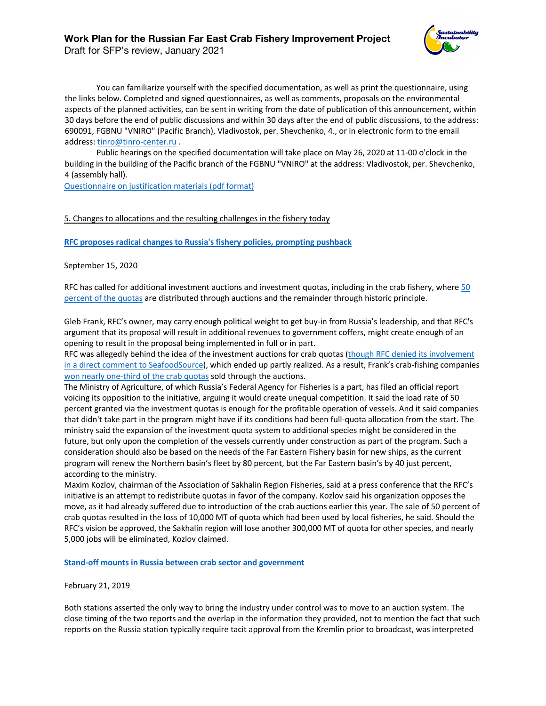# **Work Plan for the Russian Far East Crab Fishery Improvement Project**

Draft for SFP's review, January 2021



You can familiarize yourself with the specified documentation, as well as print the questionnaire, using the links below. Completed and signed questionnaires, as well as comments, proposals on the environmental aspects of the planned activities, can be sent in writing from the date of publication of this announcement, within 30 days before the end of public discussions and within 30 days after the end of public discussions, to the address: 690091, FGBNU "VNIRO" (Pacific Branch), Vladivostok, per. Shevchenko, 4., or in electronic form to the email address: tinro@tinro-center.ru.

Public hearings on the specified documentation will take place on May 26, 2020 at 11-00 o'clock in the building in the building of the Pacific branch of the FGBNU "VNIRO" at the address: Vladivostok, per. Shevchenko, 4 (assembly hall).

Questionnaire on justification materials (pdf format)

# 5. Changes to allocations and the resulting challenges in the fishery today

**RFC proposes radical changes to Russia's fishery policies, prompting pushback**

September 15, 2020

RFC has called for additional investment auctions and investment quotas, including in the crab fishery, where 50 percent of the quotas are distributed through auctions and the remainder through historic principle.

Gleb Frank, RFC's owner, may carry enough political weight to get buy-in from Russia's leadership, and that RFC's argument that its proposal will result in additional revenues to government coffers, might create enough of an opening to result in the proposal being implemented in full or in part.

RFC was allegedly behind the idea of the investment auctions for crab quotas (though RFC denied its involvement in a direct comment to SeafoodSource), which ended up partly realized. As a result, Frank's crab-fishing companies won nearly one-third of the crab quotas sold through the auctions.

The Ministry of Agriculture, of which Russia's Federal Agency for Fisheries is a part, has filed an official report voicing its opposition to the initiative, arguing it would create unequal competition. It said the load rate of 50 percent granted via the investment quotas is enough for the profitable operation of vessels. And it said companies that didn't take part in the program might have if its conditions had been full-quota allocation from the start. The ministry said the expansion of the investment quota system to additional species might be considered in the future, but only upon the completion of the vessels currently under construction as part of the program. Such a consideration should also be based on the needs of the Far Eastern Fishery basin for new ships, as the current program will renew the Northern basin's fleet by 80 percent, but the Far Eastern basin's by 40 just percent, according to the ministry.

Maxim Kozlov, chairman of the Association of Sakhalin Region Fisheries, said at a press conference that the RFC's initiative is an attempt to redistribute quotas in favor of the company. Kozlov said his organization opposes the move, as it had already suffered due to introduction of the crab auctions earlier this year. The sale of 50 percent of crab quotas resulted in the loss of 10,000 MT of quota which had been used by local fisheries, he said. Should the RFC's vision be approved, the Sakhalin region will lose another 300,000 MT of quota for other species, and nearly 5,000 jobs will be eliminated, Kozlov claimed.

**Stand-off mounts in Russia between crab sector and government**

February 21, 2019

Both stations asserted the only way to bring the industry under control was to move to an auction system. The close timing of the two reports and the overlap in the information they provided, not to mention the fact that such reports on the Russia station typically require tacit approval from the Kremlin prior to broadcast, was interpreted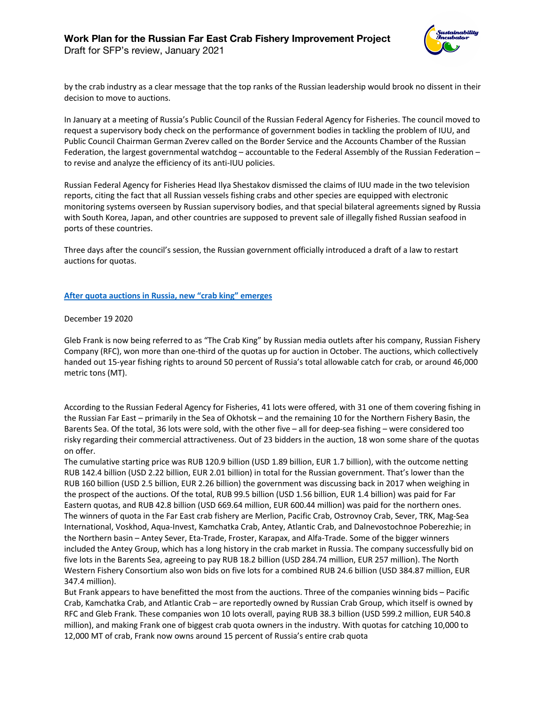

Draft for SFP's review, January 2021

by the crab industry as a clear message that the top ranks of the Russian leadership would brook no dissent in their decision to move to auctions.

In January at a meeting of Russia's Public Council of the Russian Federal Agency for Fisheries. The council moved to request a supervisory body check on the performance of government bodies in tackling the problem of IUU, and Public Council Chairman German Zverev called on the Border Service and the Accounts Chamber of the Russian Federation, the largest governmental watchdog – accountable to the Federal Assembly of the Russian Federation – to revise and analyze the efficiency of its anti-IUU policies.

Russian Federal Agency for Fisheries Head Ilya Shestakov dismissed the claims of IUU made in the two television reports, citing the fact that all Russian vessels fishing crabs and other species are equipped with electronic monitoring systems overseen by Russian supervisory bodies, and that special bilateral agreements signed by Russia with South Korea, Japan, and other countries are supposed to prevent sale of illegally fished Russian seafood in ports of these countries.

Three days after the council's session, the Russian government officially introduced a draft of a law to restart auctions for quotas.

# **After quota auctions in Russia, new "crab king" emerges**

December 19 2020

Gleb Frank is now being referred to as "The Crab King" by Russian media outlets after his company, Russian Fishery Company (RFC), won more than one-third of the quotas up for auction in October. The auctions, which collectively handed out 15-year fishing rights to around 50 percent of Russia's total allowable catch for crab, or around 46,000 metric tons (MT).

According to the Russian Federal Agency for Fisheries, 41 lots were offered, with 31 one of them covering fishing in the Russian Far East – primarily in the Sea of Okhotsk – and the remaining 10 for the Northern Fishery Basin, the Barents Sea. Of the total, 36 lots were sold, with the other five – all for deep-sea fishing – were considered too risky regarding their commercial attractiveness. Out of 23 bidders in the auction, 18 won some share of the quotas on offer.

The cumulative starting price was RUB 120.9 billion (USD 1.89 billion, EUR 1.7 billion), with the outcome netting RUB 142.4 billion (USD 2.22 billion, EUR 2.01 billion) in total for the Russian government. That's lower than the RUB 160 billion (USD 2.5 billion, EUR 2.26 billion) the government was discussing back in 2017 when weighing in the prospect of the auctions. Of the total, RUB 99.5 billion (USD 1.56 billion, EUR 1.4 billion) was paid for Far Eastern quotas, and RUB 42.8 billion (USD 669.64 million, EUR 600.44 million) was paid for the northern ones. The winners of quota in the Far East crab fishery are Merlion, Pacific Crab, Ostrovnoy Crab, Sever, TRK, Mag-Sea International, Voskhod, Aqua-Invest, Kamchatka Crab, Antey, Atlantic Crab, and Dalnevostochnoe Poberezhie; in the Northern basin – Antey Sever, Eta-Trade, Froster, Karapax, and Alfa-Trade. Some of the bigger winners included the Antey Group, which has a long history in the crab market in Russia. The company successfully bid on five lots in the Barents Sea, agreeing to pay RUB 18.2 billion (USD 284.74 million, EUR 257 million). The North Western Fishery Consortium also won bids on five lots for a combined RUB 24.6 billion (USD 384.87 million, EUR 347.4 million).

But Frank appears to have benefitted the most from the auctions. Three of the companies winning bids – Pacific Crab, Kamchatka Crab, and Atlantic Crab – are reportedly owned by Russian Crab Group, which itself is owned by RFC and Gleb Frank. These companies won 10 lots overall, paying RUB 38.3 billion (USD 599.2 million, EUR 540.8 million), and making Frank one of biggest crab quota owners in the industry. With quotas for catching 10,000 to 12,000 MT of crab, Frank now owns around 15 percent of Russia's entire crab quota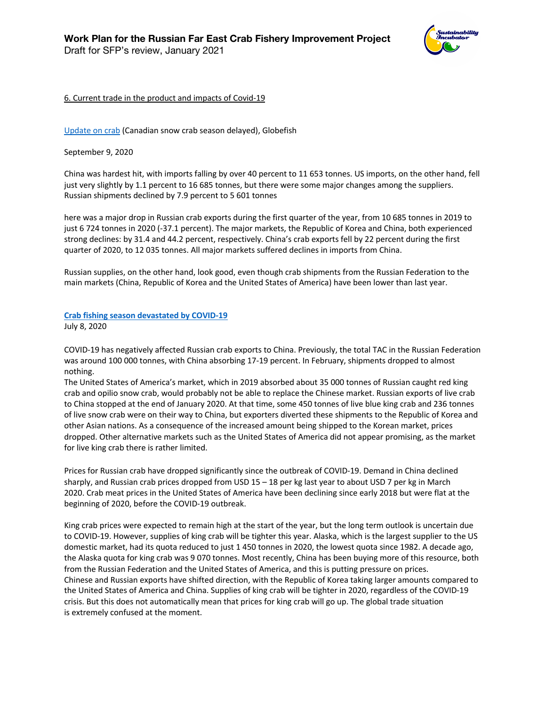

# 6. Current trade in the product and impacts of Covid-19

Update on crab (Canadian snow crab season delayed), Globefish

September 9, 2020

China was hardest hit, with imports falling by over 40 percent to 11 653 tonnes. US imports, on the other hand, fell just very slightly by 1.1 percent to 16 685 tonnes, but there were some major changes among the suppliers. Russian shipments declined by 7.9 percent to 5 601 tonnes

here was a major drop in Russian crab exports during the first quarter of the year, from 10 685 tonnes in 2019 to just 6 724 tonnes in 2020 (-37.1 percent). The major markets, the Republic of Korea and China, both experienced strong declines: by 31.4 and 44.2 percent, respectively. China's crab exports fell by 22 percent during the first quarter of 2020, to 12 035 tonnes. All major markets suffered declines in imports from China.

Russian supplies, on the other hand, look good, even though crab shipments from the Russian Federation to the main markets (China, Republic of Korea and the United States of America) have been lower than last year.

# **Crab fishing season devastated by COVID-19**

July 8, 2020

COVID-19 has negatively affected Russian crab exports to China. Previously, the total TAC in the Russian Federation was around 100 000 tonnes, with China absorbing 17-19 percent. In February, shipments dropped to almost nothing.

The United States of America's market, which in 2019 absorbed about 35 000 tonnes of Russian caught red king crab and opilio snow crab, would probably not be able to replace the Chinese market. Russian exports of live crab to China stopped at the end of January 2020. At that time, some 450 tonnes of live blue king crab and 236 tonnes of live snow crab were on their way to China, but exporters diverted these shipments to the Republic of Korea and other Asian nations. As a consequence of the increased amount being shipped to the Korean market, prices dropped. Other alternative markets such as the United States of America did not appear promising, as the market for live king crab there is rather limited.

Prices for Russian crab have dropped significantly since the outbreak of COVID-19. Demand in China declined sharply, and Russian crab prices dropped from USD 15 – 18 per kg last year to about USD 7 per kg in March 2020. Crab meat prices in the United States of America have been declining since early 2018 but were flat at the beginning of 2020, before the COVID-19 outbreak.

King crab prices were expected to remain high at the start of the year, but the long term outlook is uncertain due to COVID-19. However, supplies of king crab will be tighter this year. Alaska, which is the largest supplier to the US domestic market, had its quota reduced to just 1 450 tonnes in 2020, the lowest quota since 1982. A decade ago, the Alaska quota for king crab was 9 070 tonnes. Most recently, China has been buying more of this resource, both from the Russian Federation and the United States of America, and this is putting pressure on prices. Chinese and Russian exports have shifted direction, with the Republic of Korea taking larger amounts compared to the United States of America and China. Supplies of king crab will be tighter in 2020, regardless of the COVID-19 crisis. But this does not automatically mean that prices for king crab will go up. The global trade situation is extremely confused at the moment.